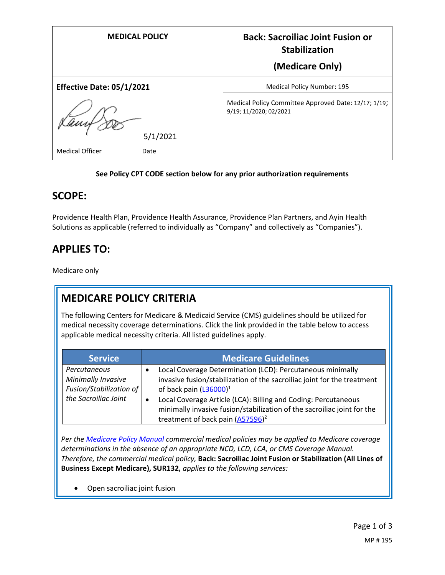| <b>MEDICAL POLICY</b>          | <b>Back: Sacroiliac Joint Fusion or</b><br><b>Stabilization</b>                |
|--------------------------------|--------------------------------------------------------------------------------|
|                                | (Medicare Only)                                                                |
| Effective Date: 05/1/2021      | <b>Medical Policy Number: 195</b>                                              |
| 5/1/2021                       | Medical Policy Committee Approved Date: 12/17; 1/19;<br>9/19; 11/2020; 02/2021 |
| <b>Medical Officer</b><br>Date |                                                                                |

#### **See Policy CPT CODE section below for any prior authorization requirements**

#### **SCOPE:**

Providence Health Plan, Providence Health Assurance, Providence Plan Partners, and Ayin Health Solutions as applicable (referred to individually as "Company" and collectively as "Companies").

## **APPLIES TO:**

Medicare only

# **MEDICARE POLICY CRITERIA**

The following Centers for Medicare & Medicaid Service (CMS) guidelines should be utilized for medical necessity coverage determinations. Click the link provided in the table below to access applicable medical necessity criteria. All listed guidelines apply.

| <b>Service</b>                                                                        | <b>Medicare Guidelines</b>                                                                                                                                                                                                                                                                                                                                                       |
|---------------------------------------------------------------------------------------|----------------------------------------------------------------------------------------------------------------------------------------------------------------------------------------------------------------------------------------------------------------------------------------------------------------------------------------------------------------------------------|
| Percutaneous<br>Minimally Invasive<br>Fusion/Stabilization of<br>the Sacroiliac Joint | Local Coverage Determination (LCD): Percutaneous minimally<br>$\bullet$<br>invasive fusion/stabilization of the sacroiliac joint for the treatment<br>of back pain $(L36000)^1$<br>Local Coverage Article (LCA): Billing and Coding: Percutaneous<br>$\bullet$<br>minimally invasive fusion/stabilization of the sacroiliac joint for the<br>treatment of back pain $(A57596)^2$ |

*Per th[e Medicare Policy Manual](https://s3-us-west-2.amazonaws.com/images.provhealth.org/Providence-Images/PHP_PHA_Medical_Policy_CMS_Manual.pdf) commercial medical policies may be applied to Medicare coverage determinations in the absence of an appropriate NCD, LCD, LCA, or CMS Coverage Manual. Therefore, the commercial medical policy,* **Back: Sacroiliac Joint Fusion or Stabilization (All Lines of Business Except Medicare), SUR132,** *applies to the following services:*

Open sacroiliac joint fusion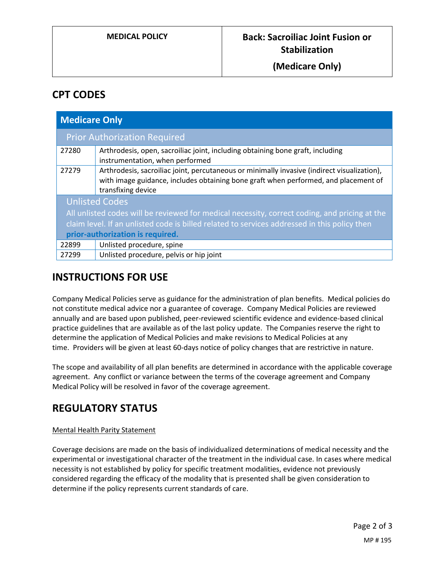#### **(Medicare Only)**

### **CPT CODES**

| <b>Medicare Only</b>                                                                                                                                                                                                                                       |                                                                                                                                                                                                          |
|------------------------------------------------------------------------------------------------------------------------------------------------------------------------------------------------------------------------------------------------------------|----------------------------------------------------------------------------------------------------------------------------------------------------------------------------------------------------------|
|                                                                                                                                                                                                                                                            | <b>Prior Authorization Required</b>                                                                                                                                                                      |
| 27280                                                                                                                                                                                                                                                      | Arthrodesis, open, sacroiliac joint, including obtaining bone graft, including<br>instrumentation, when performed                                                                                        |
| 27279                                                                                                                                                                                                                                                      | Arthrodesis, sacroiliac joint, percutaneous or minimally invasive (indirect visualization),<br>with image guidance, includes obtaining bone graft when performed, and placement of<br>transfixing device |
| <b>Unlisted Codes</b><br>All unlisted codes will be reviewed for medical necessity, correct coding, and pricing at the<br>claim level. If an unlisted code is billed related to services addressed in this policy then<br>prior-authorization is required. |                                                                                                                                                                                                          |
| 22899                                                                                                                                                                                                                                                      | Unlisted procedure, spine                                                                                                                                                                                |
| 27299                                                                                                                                                                                                                                                      | Unlisted procedure, pelvis or hip joint                                                                                                                                                                  |

### **INSTRUCTIONS FOR USE**

Company Medical Policies serve as guidance for the administration of plan benefits. Medical policies do not constitute medical advice nor a guarantee of coverage. Company Medical Policies are reviewed annually and are based upon published, peer-reviewed scientific evidence and evidence-based clinical practice guidelines that are available as of the last policy update. The Companies reserve the right to determine the application of Medical Policies and make revisions to Medical Policies at any time. Providers will be given at least 60-days notice of policy changes that are restrictive in nature.

The scope and availability of all plan benefits are determined in accordance with the applicable coverage agreement. Any conflict or variance between the terms of the coverage agreement and Company Medical Policy will be resolved in favor of the coverage agreement.

# **REGULATORY STATUS**

#### Mental Health Parity Statement

Coverage decisions are made on the basis of individualized determinations of medical necessity and the experimental or investigational character of the treatment in the individual case. In cases where medical necessity is not established by policy for specific treatment modalities, evidence not previously considered regarding the efficacy of the modality that is presented shall be given consideration to determine if the policy represents current standards of care.